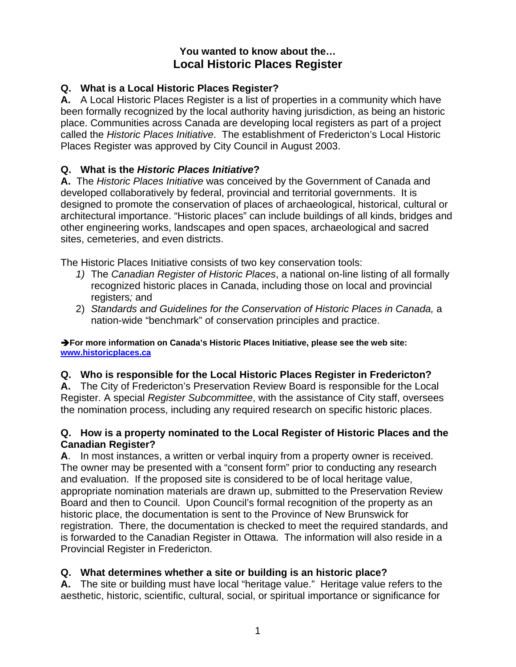## **You wanted to know about the… Local Historic Places Register**

## **Q. What is a Local Historic Places Register?**

**A.** A Local Historic Places Register is a list of properties in a community which have been formally recognized by the local authority having jurisdiction, as being an historic place. Communities across Canada are developing local registers as part of a project called the *Historic Places Initiative*. The establishment of Fredericton's Local Historic Places Register was approved by City Council in August 2003.

## **Q. What is the** *Historic Places Initiative***?**

**A.** The *Historic Places Initiative* was conceived by the Government of Canada and developed collaboratively by federal, provincial and territorial governments. It is designed to promote the conservation of places of archaeological, historical, cultural or architectural importance. "Historic places" can include buildings of all kinds, bridges and other engineering works, landscapes and open spaces, archaeological and sacred sites, cemeteries, and even districts.

The Historic Places Initiative consists of two key conservation tools:

- *1)* The *Canadian Register of Historic Places*, a national on-line listing of all formally recognized historic places in Canada, including those on local and provincial registers*;* and
- 2) *Standards and Guidelines for the Conservation of Historic Places in Canada,* a nation-wide "benchmark" of conservation principles and practice.

Î**For more information on Canada's Historic Places Initiative, please see the web site: [www.historicplaces.ca](http://www.historicplaces.ca/)** 

#### **Q. Who is responsible for the Local Historic Places Register in Fredericton?**

**A.** The City of Fredericton's Preservation Review Board is responsible for the Local Register. A special *Register Subcommittee*, with the assistance of City staff, oversees the nomination process, including any required research on specific historic places.

#### **Q. How is a property nominated to the Local Register of Historic Places and the Canadian Register?**

**A**. In most instances, a written or verbal inquiry from a property owner is received. The owner may be presented with a "consent form" prior to conducting any research and evaluation. If the proposed site is considered to be of local heritage value, appropriate nomination materials are drawn up, submitted to the Preservation Review Board and then to Council. Upon Council's formal recognition of the property as an historic place, the documentation is sent to the Province of New Brunswick for registration. There, the documentation is checked to meet the required standards, and is forwarded to the Canadian Register in Ottawa. The information will also reside in a Provincial Register in Fredericton.

# **Q. What determines whether a site or building is an historic place?**

**A.** The site or building must have local "heritage value." Heritage value refers to the aesthetic, historic, scientific, cultural, social, or spiritual importance or significance for